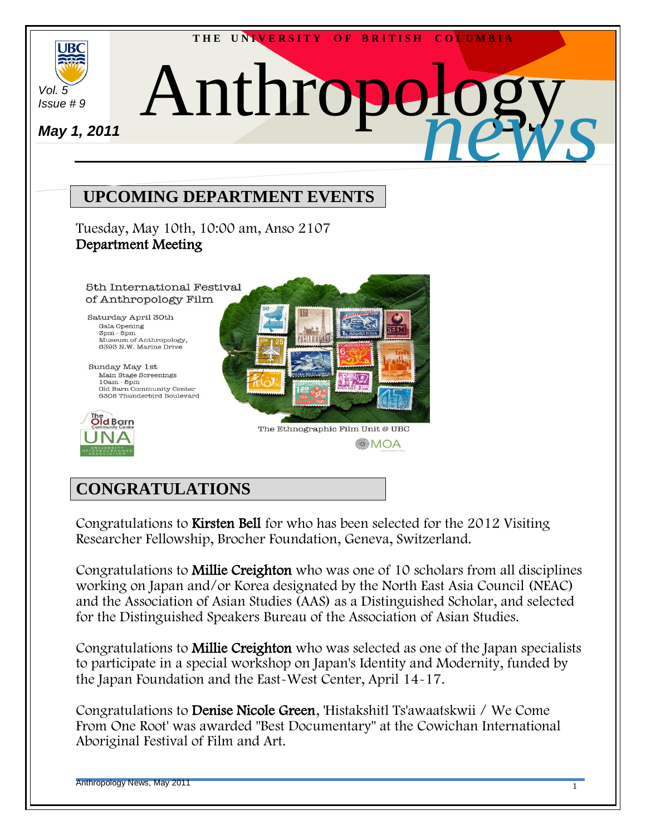

# **CONGRATULATIONS**

Congratulations to Kirsten Bell for who has been selected for the 2012 Visiting Researcher Fellowship, Brocher Foundation, Geneva, Switzerland.

Congratulations to Millie Creighton who was one of 10 scholars from all disciplines working on Japan and/or Korea designated by the North East Asia Council (NEAC) and the Association of Asian Studies (AAS) as a Distinguished Scholar, and selected for the Distinguished Speakers Bureau of the Association of Asian Studies.

Congratulations to Millie Creighton who was selected as one of the Japan specialists to participate in a special workshop on Japan's Identity and Modernity, funded by the Japan Foundation and the East-West Center, April 14-17.

Congratulations to Denise Nicole Green, 'Histakshitl Ts'awaatskwii / We Come From One Root' was awarded "Best Documentary" at the Cowichan International Aboriginal Festival of Film and Art.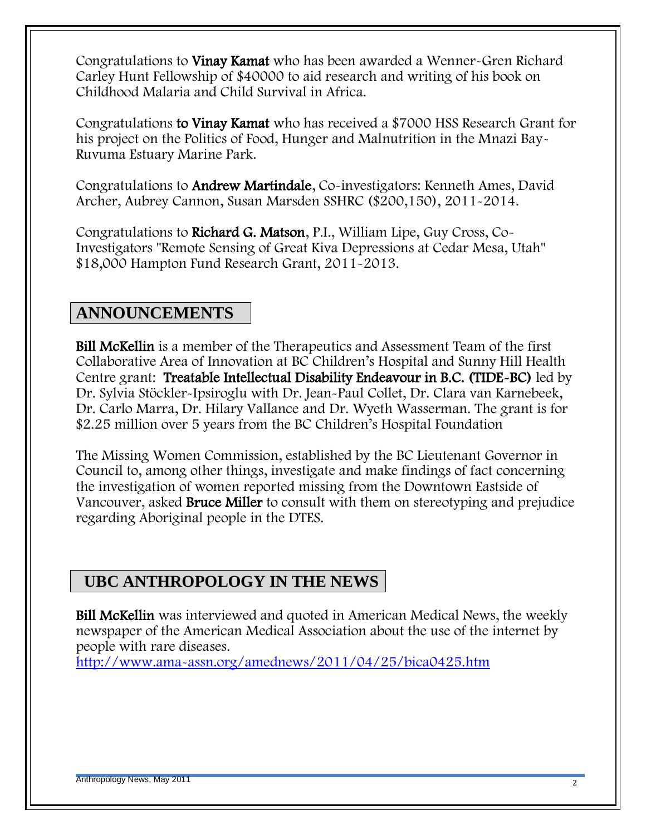Congratulations to Vinay Kamat who has been awarded a Wenner-Gren Richard Carley Hunt Fellowship of \$40000 to aid research and writing of his book on Childhood Malaria and Child Survival in Africa.

Congratulations to Vinay Kamat who has received a \$7000 HSS Research Grant for his project on the Politics of Food, Hunger and Malnutrition in the Mnazi Bay-Ruvuma Estuary Marine Park.

Congratulations to Andrew Martindale, Co-investigators: Kenneth Ames, David Archer, Aubrey Cannon, Susan Marsden SSHRC (\$200,150), 2011-2014.

Congratulations to Richard G. Matson, P.I., William Lipe, Guy Cross, Co-Investigators "Remote Sensing of Great Kiva Depressions at Cedar Mesa, Utah" \$18,000 Hampton Fund Research Grant, 2011-2013.

# **ANNOUNCEMENTS**

Bill McKellin is a member of the Therapeutics and Assessment Team of the first Collaborative Area of Innovation at BC Children"s Hospital and Sunny Hill Health Centre grant: Treatable Intellectual Disability Endeavour in B.C. (TIDE-BC) led by Dr. Sylvia Stöckler-Ipsiroglu with Dr. Jean-Paul Collet, Dr. Clara van Karnebeek, Dr. Carlo Marra, Dr. Hilary Vallance and Dr. Wyeth Wasserman. The grant is for \$2.25 million over 5 years from the BC Children's Hospital Foundation

The Missing Women Commission, established by the BC Lieutenant Governor in Council to, among other things, investigate and make findings of fact concerning the investigation of women reported missing from the Downtown Eastside of Vancouver, asked **Bruce Miller** to consult with them on stereotyping and prejudice regarding Aboriginal people in the DTES.

# **UBC ANTHROPOLOGY IN THE NEWS**

Bill McKellin was interviewed and quoted in American Medical News, the weekly newspaper of the American Medical Association about the use of the internet by people with rare diseases.

<http://www.ama-assn.org/amednews/2011/04/25/bica0425.htm>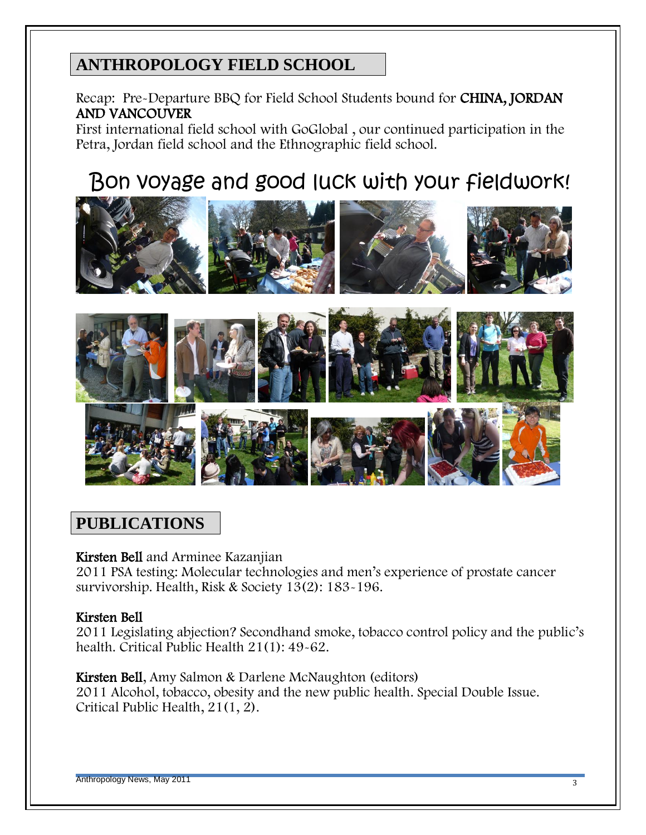# **ANTHROPOLOGY FIELD SCHOOL**

Recap: Pre-Departure BBQ for Field School Students bound for CHINA, JORDAN AND VANCOUVER

First international field school with GoGlobal , our continued participation in the Petra, Jordan field school and the Ethnographic field school.

# Bon voyage and good luck with your fieldwork!



# **PUBLICATIONS**

### Kirsten Bell and Arminee Kazanjian

2011 PSA testing: Molecular technologies and men"s experience of prostate cancer survivorship. Health, Risk & Society 13(2): 183-196.

### Kirsten Bell

2011 Legislating abjection? Secondhand smoke, tobacco control policy and the public"s health. Critical Public Health 21(1): 49-62.

### Kirsten Bell, Amy Salmon & Darlene McNaughton (editors)

2011 Alcohol, tobacco, obesity and the new public health. Special Double Issue. Critical Public Health, 21(1, 2).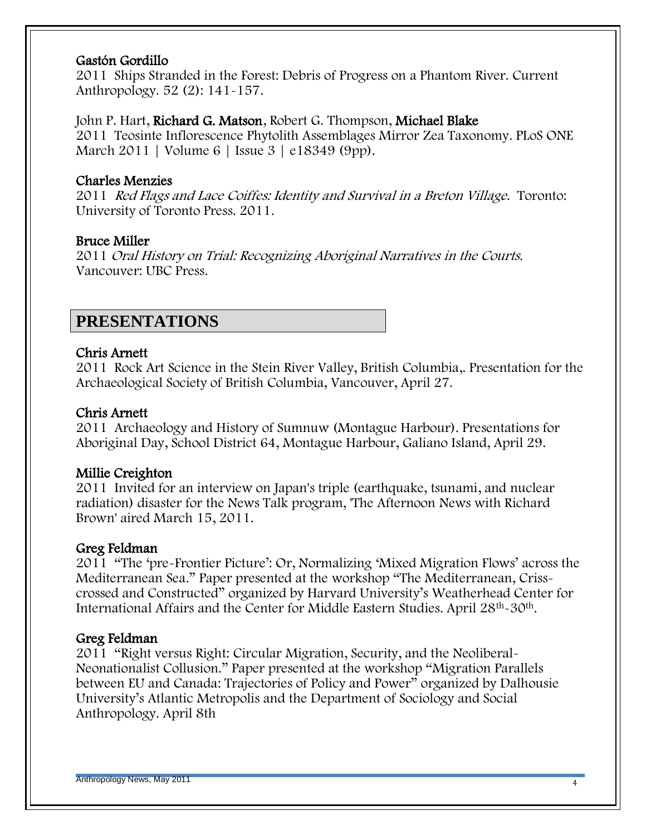#### Gastón Gordillo

2011 Ships Stranded in the Forest: Debris of Progress on a Phantom River. Current Anthropology. 52 (2): 141-157.

#### John P. Hart, Richard G. Matson, Robert G. Thompson, Michael Blake

2011 Teosinte Inflorescence Phytolith Assemblages Mirror Zea Taxonomy. PLoS ONE March 2011 | Volume 6 | Issue 3 | e18349 (9pp).

### Charles Menzies

2011 Red Flags and Lace Coiffes: Identity and Survival in a Breton Village. Toronto: University of Toronto Press. 2011.

### Bruce Miller

2011 Oral History on Trial: Recognizing Aboriginal Narratives in the Courts. Vancouver: UBC Press.

## **PRESENTATIONS**

### Chris Arnett

2011 Rock Art Science in the Stein River Valley, British Columbia,. Presentation for the Archaeological Society of British Columbia, Vancouver, April 27.

### Chris Arnett

2011 Archaeology and History of Sumnuw (Montague Harbour). Presentations for Aboriginal Day, School District 64, Montague Harbour, Galiano Island, April 29.

### Millie Creighton

2011 Invited for an interview on Japan's triple (earthquake, tsunami, and nuclear radiation) disaster for the News Talk program, 'The Afternoon News with Richard Brown' aired March 15, 2011.

### Greg Feldman

2011 "The "pre-Frontier Picture": Or, Normalizing "Mixed Migration Flows" across the Mediterranean Sea." Paper presented at the workshop "The Mediterranean, Crisscrossed and Constructed" organized by Harvard University"s Weatherhead Center for International Affairs and the Center for Middle Eastern Studies. April 28th-30th.

### Greg Feldman

2011 "Right versus Right: Circular Migration, Security, and the Neoliberal-Neonationalist Collusion." Paper presented at the workshop "Migration Parallels between EU and Canada: Trajectories of Policy and Power" organized by Dalhousie University"s Atlantic Metropolis and the Department of Sociology and Social Anthropology. April 8th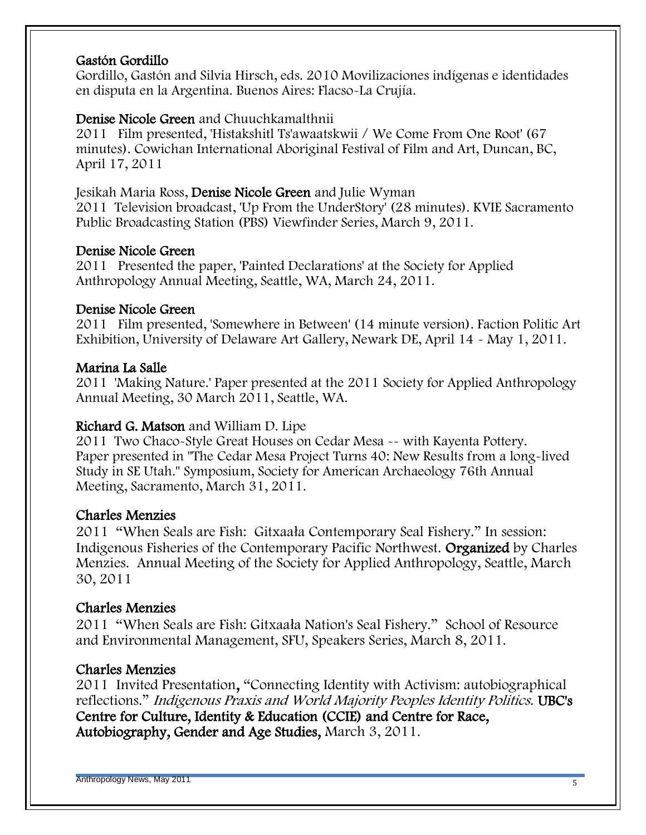### Gastón Gordillo

Gordillo, Gastón and Silvia Hirsch, eds. 2010 Movilizaciones indígenas e identidades en disputa en la Argentina. Buenos Aires: Flacso-La Crujía.

### Denise Nicole Green and Chuuchkamalthnii

2011 Film presented, 'Histakshitl Ts'awaatskwii / We Come From One Root' (67 minutes). Cowichan International Aboriginal Festival of Film and Art, Duncan, BC, April 17, 2011

### Jesikah Maria Ross, Denise Nicole Green and Julie Wyman

2011 Television broadcast, 'Up From the UnderStory' (28 minutes). KVIE Sacramento Public Broadcasting Station (PBS) Viewfinder Series, March 9, 2011.

### Denise Nicole Green

2011 Presented the paper, 'Painted Declarations' at the Society for Applied Anthropology Annual Meeting, Seattle, WA, March 24, 2011.

### Denise Nicole Green

2011 Film presented, 'Somewhere in Between' (14 minute version). Faction Politic Art Exhibition, University of Delaware Art Gallery, Newark DE, April 14 - May 1, 2011.

### Marina La Salle

2011 'Making Nature.' Paper presented at the 2011 Society for Applied Anthropology Annual Meeting, 30 March 2011, Seattle, WA.

### Richard G. Matson and William D. Lipe

2011 Two Chaco-Style Great Houses on Cedar Mesa -- with Kayenta Pottery. Paper presented in "The Cedar Mesa Project Turns 40: New Results from a long-lived Study in SE Utah." Symposium, Society for American Archaeology 76th Annual Meeting, Sacramento, March 31, 2011.

### Charles Menzies

2011 "When Seals are Fish: Gitxaała Contemporary Seal Fishery." In session: Indigenous Fisheries of the Contemporary Pacific Northwest. Organized by Charles Menzies. Annual Meeting of the Society for Applied Anthropology, Seattle, March 30, 2011

### Charles Menzies

2011 "When Seals are Fish: Gitxaała Nation's Seal Fishery." School of Resource and Environmental Management, SFU, Speakers Series, March 8, 2011.

### Charles Menzies

2011 Invited Presentation, "Connecting Identity with Activism: autobiographical reflections." Indigenous Praxis and World Majority Peoples Identity Politics. UBC's Centre for Culture, Identity & Education (CCIE) and Centre for Race, Autobiography, Gender and Age Studies, March 3, 2011.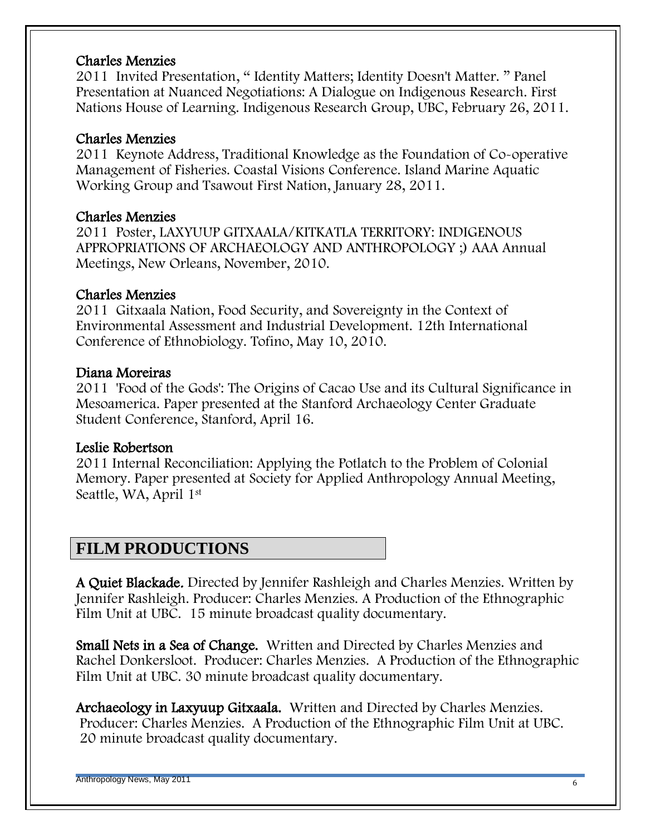#### Charles Menzies

2011 Invited Presentation, " Identity Matters; Identity Doesn't Matter. " Panel Presentation at Nuanced Negotiations: A Dialogue on Indigenous Research. First Nations House of Learning. Indigenous Research Group, UBC, February 26, 2011.

#### Charles Menzies

2011 Keynote Address, Traditional Knowledge as the Foundation of Co-operative Management of Fisheries. Coastal Visions Conference. Island Marine Aquatic Working Group and Tsawout First Nation, January 28, 2011.

#### Charles Menzies

2011 Poster, LAXYUUP GITXAALA/KITKATLA TERRITORY: INDIGENOUS APPROPRIATIONS OF ARCHAEOLOGY AND ANTHROPOLOGY ;) AAA Annual Meetings, New Orleans, November, 2010.

### Charles Menzies

2011 Gitxaala Nation, Food Security, and Sovereignty in the Context of Environmental Assessment and Industrial Development. 12th International Conference of Ethnobiology. Tofino, May 10, 2010.

#### Diana Moreiras

2011 'Food of the Gods': The Origins of Cacao Use and its Cultural Significance in Mesoamerica. Paper presented at the Stanford Archaeology Center Graduate Student Conference, Stanford, April 16.

### Leslie Robertson

2011 Internal Reconciliation: Applying the Potlatch to the Problem of Colonial Memory. Paper presented at Society for Applied Anthropology Annual Meeting, Seattle, WA, April 1st

### **FILM PRODUCTIONS**

A Quiet Blackade. Directed by Jennifer Rashleigh and Charles Menzies. Written by Jennifer Rashleigh. Producer: Charles Menzies. A Production of the Ethnographic Film Unit at UBC. 15 minute broadcast quality documentary.

Small Nets in a Sea of Change. Written and Directed by Charles Menzies and Rachel Donkersloot. Producer: Charles Menzies. A Production of the Ethnographic Film Unit at UBC. 30 minute broadcast quality documentary.

Archaeology in Laxyuup Gitxaala. Written and Directed by Charles Menzies. Producer: Charles Menzies. A Production of the Ethnographic Film Unit at UBC. 20 minute broadcast quality documentary.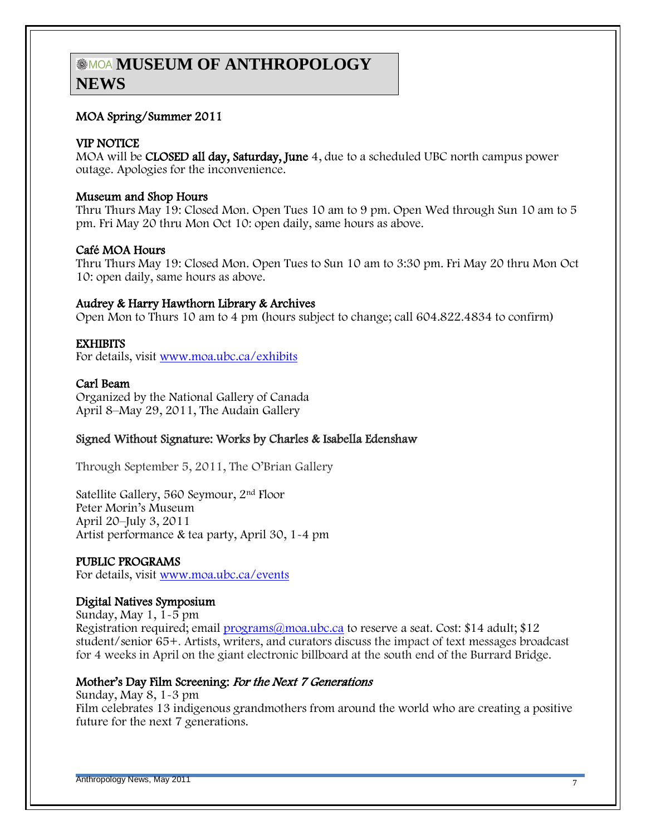# **MOA MUSEUM OF ANTHROPOLOGY NEWS**

#### MOA Spring/Summer 2011

#### VIP NOTICE

MOA will be CLOSED all day, Saturday, June 4, due to a scheduled UBC north campus power outage. Apologies for the inconvenience.

#### Museum and Shop Hours

Thru Thurs May 19: Closed Mon. Open Tues 10 am to 9 pm. Open Wed through Sun 10 am to 5 pm. Fri May 20 thru Mon Oct 10: open daily, same hours as above.

#### Café MOA Hours

Thru Thurs May 19: Closed Mon. Open Tues to Sun 10 am to 3:30 pm. Fri May 20 thru Mon Oct 10: open daily, same hours as above.

#### Audrey & Harry Hawthorn Library & Archives

Open Mon to Thurs 10 am to 4 pm (hours subject to change; call 604.822.4834 to confirm)

#### **EXHIBITS**

For details, visit [www.moa.ubc.ca/exhibits](http://www.moa.ubc.ca/exhibits)

#### Carl Beam

Organized by the National Gallery of Canada April 8–May 29, 2011, The Audain Gallery

#### Signed Without Signature: Works by Charles & Isabella Edenshaw

Through September 5, 2011, The O"Brian Gallery

Satellite Gallery, 560 Seymour, 2nd Floor Peter Morin"s Museum April 20–July 3, 2011 Artist performance & tea party, April 30, 1-4 pm

#### PUBLIC PROGRAMS

For details, visit [www.moa.ubc.ca/events](http://www.moa.ubc.ca/events)

#### Digital Natives Symposium

Sunday, May 1, 1-5 pm Registration required; email [programs@moa.ubc.ca](mailto:programs@moa.ubc.ca) to reserve a seat. Cost: \$14 adult; \$12 student/senior 65+. Artists, writers, and curators discuss the impact of text messages broadcast for 4 weeks in April on the giant electronic billboard at the south end of the Burrard Bridge.

#### Mother"s Day Film Screening: For the Next 7 Generations

Sunday, May 8, 1-3 pm Film celebrates 13 indigenous grandmothers from around the world who are creating a positive future for the next 7 generations.